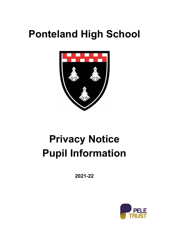# **Ponteland High School**



# **Privacy Notice Pupil Information**

**2021-22**

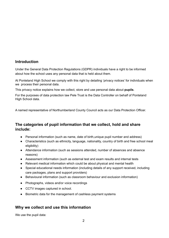#### **Introduction**

Under the General Data Protection Regulations (GDPR) individuals have a right to be informed about how the school uses any personal data that is held about them.

At Ponteland High School we comply with this right by detailing 'privacy notices' for individuals when we process their personal data.

This privacy notice explains how we collect, store and use personal data about **pupils**.

For the purposes of data protection law Pele Trust is the Data Controller on behalf of Ponteland High School data.

A named representative of Northumberland County Council acts as our Data Protection Officer.

#### **The categories of pupil information that we collect, hold and share include:**

- Personal information (such as name, date of birth,unique pupil number and address)
- Characteristics (such as ethnicity, language, nationality, country of birth and free school meal eligibility)
- Attendance information (such as sessions attended, number of absences and absence reasons)
- Assessment information (such as external test and exam results and internal tests
- Relevant medical information which could be about physical and mental health
- Special educational needs information (including details of any support received, including care packages, plans and support providers)
- Behavioural information (such as classroom behaviour and exclusion information)
- Photographs, videos and/or voice recordings
- CCTV images captured in school.
- Biometric data for the management of cashless payment systems

#### **Why we collect and use this information**

We use the pupil data: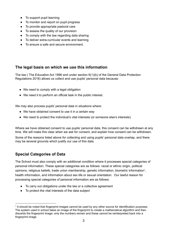- To support pupil learning
- To monitor and report on pupil progress
- To provide appropriate pastoral care
- To assess the quality of our provision
- To comply with the law regarding data sharing
- To deliver extra-curricular events and learning
- To ensure a safe and secure environment.

#### **The legal basis on which we use this information**

The law ( The Education Act 1996 and under section 6(1)(b) of the General Data Protection Regulations 2018) allows us collect and use pupils' personal data because:

- We need to comply with a legal obligation
- We need it to perform an official task in the public interest.

We may also process pupils' personal data in situations where:

- We have obtained consent to use it in a certain way
- We need to protect the individual's vital interests (or someone else's interests)

Where we have obtained consent to use pupils' personal data, this consent can be withdrawn at any time. We will make this clear when we ask for consent, and explain how consent can be withdrawn.

Some of the reasons listed above for collecting and using pupils' personal data overlap, and there may be several grounds which justify our use of this data.

## **Special Categories of Data**

The School must also comply with an additional condition where it processes special categories of personal information. These special categories are as follows: racial or ethnic origin, political opinions, religious beliefs, trade union membership, genetic information, biometric information<sup>1</sup>, health information, and information about sex life or sexual orientation. Our lawful reason for processing special categories of personal information are as follows:

- To carry out obligations under the law or a collective agreement
- To protect the vital interests of the data subject

<sup>&</sup>lt;sup>1</sup> It should be noted that fingerprint images cannot be used by any other source for identification purposes. The system used in school takes an image of the fingerprint to create a mathematical algorithm and then discards the fingerprint image; only the numbers remain and these cannot be reinterpreted back into a fingerprint image.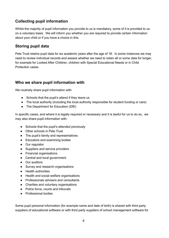# **Collecting pupil information**

Whilst the majority of pupil information you provide to us is mandatory, some of it is provided to us on a voluntary basis. We will inform you whether you are required to provide certain information about your child or if you have a choice in this.

#### **Storing pupil data**

Pele Trust retains pupil data for six academic years after the age of 18. In some instances we may need to review individual records and assess whether we need to retain all or some data for longer, for example for Looked After Children, children with Special Educational Needs or in Child Protection cases.

#### **Who we share pupil information with**

We routinely share pupil information with:

- Schools that the pupil's attend if they leave us
- The local authority (including the local authority responsible for student funding or care)
- The Department for Education (DfE)

In specific cases, and where it is legally required or necessary and it is lawful for us to do so, we may also share pupil information with:

- Schools that the pupil's attended previously
- Other schools in Pele Trust
- The pupil's family and representatives
- Educators and examining bodies
- Our regulator
- Suppliers and service providers
- Financial organisations
- Central and local government
- Our auditors
- Survey and research organisations
- Health authorities
- Health and social welfare organisations
- Professionals advisers and consultants
- Charities and voluntary organisations
- Police force, courts and tribunals
- Professional bodies

Some pupil personal information (for example name and date of birth) is shared with third party suppliers of educational software or with third party suppliers of school management software for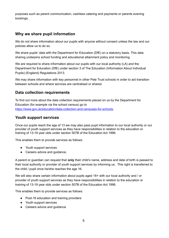purposes such as parent communication, cashless catering and payments or parents evening bookings.

#### **Why we share pupil information**

We do not share information about our pupils with anyone without consent unless the law and our policies allow us to do so.

We share pupils' data with the Department for Education (DfE) on a statutory basis. This data sharing underpins school funding and educational attainment policy and monitoring.

We are required to share information about our pupils with our local authority (LA) and the Department for Education (DfE) under section 3 of The Education (Information About Individual Pupils) (England) Regulations 2013.

We may share information with key personnel in other Pele Trust schools in order to aid transition between schools and where services are centralised or shared.

#### **Data collection requirements**

To find out more about the data collection requirements placed on us by the Department for Education (for example via the school census) go to [https://www.gov.uk/education/data-collection-and-censuses-for-schools.](https://www.gov.uk/education/data-collection-and-censuses-for-schools)

#### **Youth support services**

Once our pupils reach the age of 13 we may also pass pupil information to our local authority or our provider of youth support services as they have responsibilities in relation to the education or training of 13-19 year olds under section 507B of the Education Act 1996.

This enables them to provide services as follows:

- Youth support services
- Careers advice and guidance.

A parent or guardian can request that **only** their child's name, address and date of birth is passed to their local authority or provider of youth support services by informing us. This right is transferred to the child / pupil once he/she reaches the age 16.

We will also share certain information about pupils aged 16+ with our local authority and / or provider of youth support services as they have responsibilities in relation to the education or training of 13-19 year olds under section 507B of the Education Act 1996.

This enables them to provide services as follows:

- Post-16 education and training providers
- Youth support services
- Careers advice and quidance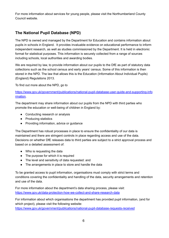For more information about services for young people, please visit the Northumberland County Council website.

# **The National Pupil Database (NPD)**

The NPD is owned and managed by the Department for Education and contains information about pupils in schools in England. It provides invaluable evidence on educational performance to inform independent research, as well as studies commissioned by the Department. It is held in electronic format for statistical purposes. This information is securely collected from a range of sources including schools, local authorities and awarding bodies.

We are required by law, to provide information about our pupils to the DfE as part of statutory data collections such as the school census and early years' census. Some of this information is then stored in the NPD. The law that allows this is the Education (Information About Individual Pupils) (England) Regulations 2013.

To find out more about the NPD, go to

[https://www.gov.uk/government/publications/national-pupil-database-user-guide-and-supporting-info](https://www.gov.uk/government/publications/national-pupil-database-user-guide-and-supporting-information) [rmation.](https://www.gov.uk/government/publications/national-pupil-database-user-guide-and-supporting-information)

The department may share information about our pupils from the NPD with third parties who promote the education or well-being of children in England by:

- Conducting research or analysis
- Producing statistics
- Providing information, advice or guidance

The Department has robust processes in place to ensure the confidentiality of our data is maintained and there are stringent controls in place regarding access and use of the data. Decisions on whether DfE releases data to third parties are subject to a strict approval process and based on a detailed assessment of:

- Who is requesting the data
- The purpose for which it is required
- The level and sensitivity of data requested: and
- The arrangements in place to store and handle the data

To be granted access to pupil information, organisations must comply with strict terms and conditions covering the confidentiality and handling of the data, security arrangements and retention and use of the data.

For more information about the department's data sharing process, please visit: <https://www.gov.uk/data-protection-how-we-collect-and-share-research-data>

For information about which organisations the department has provided pupil information, (and for which project), please visit the following website: <https://www.gov.uk/government/publications/national-pupil-database-requests-received>

6